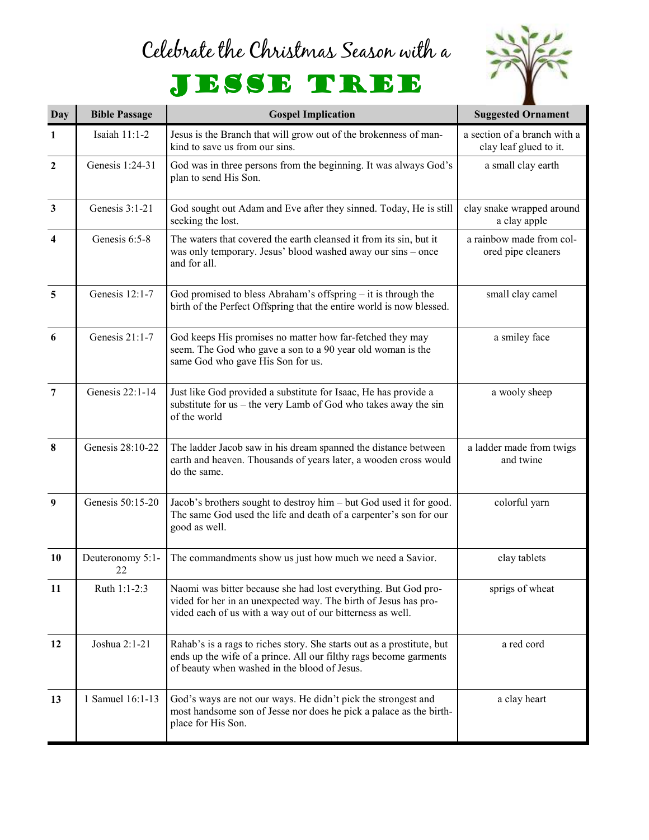## Celebrate the Christmas Season with a



## JESSE TREE

| <b>Day</b>              | <b>Bible Passage</b>   | <b>Gospel Implication</b>                                                                                                                                                                       | <b>Suggested Ornament</b>                              |
|-------------------------|------------------------|-------------------------------------------------------------------------------------------------------------------------------------------------------------------------------------------------|--------------------------------------------------------|
| $\mathbf{1}$            | Isaiah 11:1-2          | Jesus is the Branch that will grow out of the brokenness of man-<br>kind to save us from our sins.                                                                                              | a section of a branch with a<br>clay leaf glued to it. |
| $\boldsymbol{2}$        | Genesis 1:24-31        | God was in three persons from the beginning. It was always God's<br>plan to send His Son.                                                                                                       | a small clay earth                                     |
| $\mathbf{3}$            | Genesis 3:1-21         | God sought out Adam and Eve after they sinned. Today, He is still<br>seeking the lost.                                                                                                          | clay snake wrapped around<br>a clay apple              |
| $\overline{\mathbf{4}}$ | Genesis 6:5-8          | The waters that covered the earth cleansed it from its sin, but it<br>was only temporary. Jesus' blood washed away our sins - once<br>and for all.                                              | a rainbow made from col-<br>ored pipe cleaners         |
| $\overline{\mathbf{5}}$ | Genesis 12:1-7         | God promised to bless Abraham's offspring $-$ it is through the<br>birth of the Perfect Offspring that the entire world is now blessed.                                                         | small clay camel                                       |
| 6                       | Genesis 21:1-7         | God keeps His promises no matter how far-fetched they may<br>seem. The God who gave a son to a 90 year old woman is the<br>same God who gave His Son for us.                                    | a smiley face                                          |
| $\overline{7}$          | Genesis 22:1-14        | Just like God provided a substitute for Isaac, He has provide a<br>substitute for $us$ – the very Lamb of God who takes away the sin<br>of the world                                            | a wooly sheep                                          |
| 8                       | Genesis 28:10-22       | The ladder Jacob saw in his dream spanned the distance between<br>earth and heaven. Thousands of years later, a wooden cross would<br>do the same.                                              | a ladder made from twigs<br>and twine                  |
| 9                       | Genesis 50:15-20       | Jacob's brothers sought to destroy him – but God used it for good.<br>The same God used the life and death of a carpenter's son for our<br>good as well.                                        | colorful yarn                                          |
| 10                      | Deuteronomy 5:1-<br>22 | The commandments show us just how much we need a Savior.                                                                                                                                        | clay tablets                                           |
| 11                      | Ruth 1:1-2:3           | Naomi was bitter because she had lost everything. But God pro-<br>vided for her in an unexpected way. The birth of Jesus has pro-<br>vided each of us with a way out of our bitterness as well. | sprigs of wheat                                        |
| 12                      | Joshua 2:1-21          | Rahab's is a rags to riches story. She starts out as a prostitute, but<br>ends up the wife of a prince. All our filthy rags become garments<br>of beauty when washed in the blood of Jesus.     | a red cord                                             |
| 13                      | 1 Samuel 16:1-13       | God's ways are not our ways. He didn't pick the strongest and<br>most handsome son of Jesse nor does he pick a palace as the birth-<br>place for His Son.                                       | a clay heart                                           |